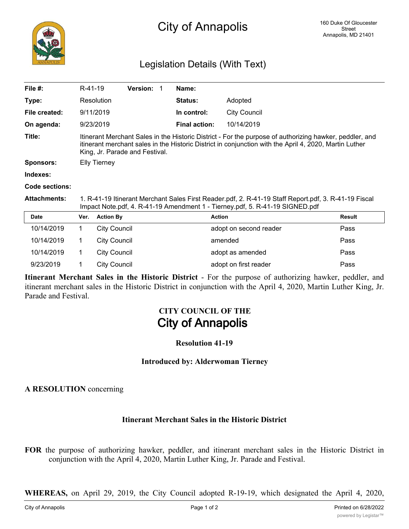# Legislation Details (With Text)

|                                                                                                                                                                                                                                                     |                  | <b>Version:</b>                                 |                                                                                          | Name:                |                     |                                                                                                 |
|-----------------------------------------------------------------------------------------------------------------------------------------------------------------------------------------------------------------------------------------------------|------------------|-------------------------------------------------|------------------------------------------------------------------------------------------|----------------------|---------------------|-------------------------------------------------------------------------------------------------|
|                                                                                                                                                                                                                                                     |                  |                                                 |                                                                                          | <b>Status:</b>       | Adopted             |                                                                                                 |
|                                                                                                                                                                                                                                                     |                  |                                                 |                                                                                          | In control:          | <b>City Council</b> |                                                                                                 |
|                                                                                                                                                                                                                                                     |                  |                                                 |                                                                                          | <b>Final action:</b> | 10/14/2019          |                                                                                                 |
| Itinerant Merchant Sales in the Historic District - For the purpose of authorizing hawker, peddler, and<br>itinerant merchant sales in the Historic District in conjunction with the April 4, 2020, Martin Luther<br>King, Jr. Parade and Festival. |                  |                                                 |                                                                                          |                      |                     |                                                                                                 |
| <b>Elly Tierney</b>                                                                                                                                                                                                                                 |                  |                                                 |                                                                                          |                      |                     |                                                                                                 |
|                                                                                                                                                                                                                                                     |                  |                                                 |                                                                                          |                      |                     |                                                                                                 |
|                                                                                                                                                                                                                                                     |                  |                                                 |                                                                                          |                      |                     |                                                                                                 |
| 1. R-41-19 Itinerant Merchant Sales First Reader.pdf, 2. R-41-19 Staff Report.pdf, 3. R-41-19 Fiscal<br>Impact Note.pdf, 4. R-41-19 Amendment 1 - Tierney.pdf, 5. R-41-19 SIGNED.pdf                                                                |                  |                                                 |                                                                                          |                      |                     |                                                                                                 |
| Ver.                                                                                                                                                                                                                                                | <b>Action By</b> |                                                 |                                                                                          |                      |                     | <b>Result</b>                                                                                   |
| 1.                                                                                                                                                                                                                                                  |                  |                                                 |                                                                                          |                      |                     | Pass                                                                                            |
| 1.                                                                                                                                                                                                                                                  |                  |                                                 |                                                                                          |                      |                     | Pass                                                                                            |
| 1                                                                                                                                                                                                                                                   |                  |                                                 |                                                                                          |                      |                     | Pass                                                                                            |
| 1                                                                                                                                                                                                                                                   |                  |                                                 |                                                                                          |                      |                     | Pass                                                                                            |
|                                                                                                                                                                                                                                                     |                  | R-41-19<br>Resolution<br>9/11/2019<br>9/23/2019 | <b>City Council</b><br><b>City Council</b><br><b>City Council</b><br><b>City Council</b> | - 1                  |                     | <b>Action</b><br>adopt on second reader<br>amended<br>adopt as amended<br>adopt on first reader |

**Itinerant Merchant Sales in the Historic District** - For the purpose of authorizing hawker, peddler, and itinerant merchant sales in the Historic District in conjunction with the April 4, 2020, Martin Luther King, Jr. Parade and Festival.

# **CITY COUNCIL OF THE City of Annapolis**

#### **Resolution 41-19**

#### **Introduced by: Alderwoman Tierney**

#### **A RESOLUTION** concerning

## **Itinerant Merchant Sales in the Historic District**

**FOR** the purpose of authorizing hawker, peddler, and itinerant merchant sales in the Historic District in conjunction with the April 4, 2020, Martin Luther King, Jr. Parade and Festival.

**WHEREAS,** on April 29, 2019, the City Council adopted R-19-19, which designated the April 4, 2020,